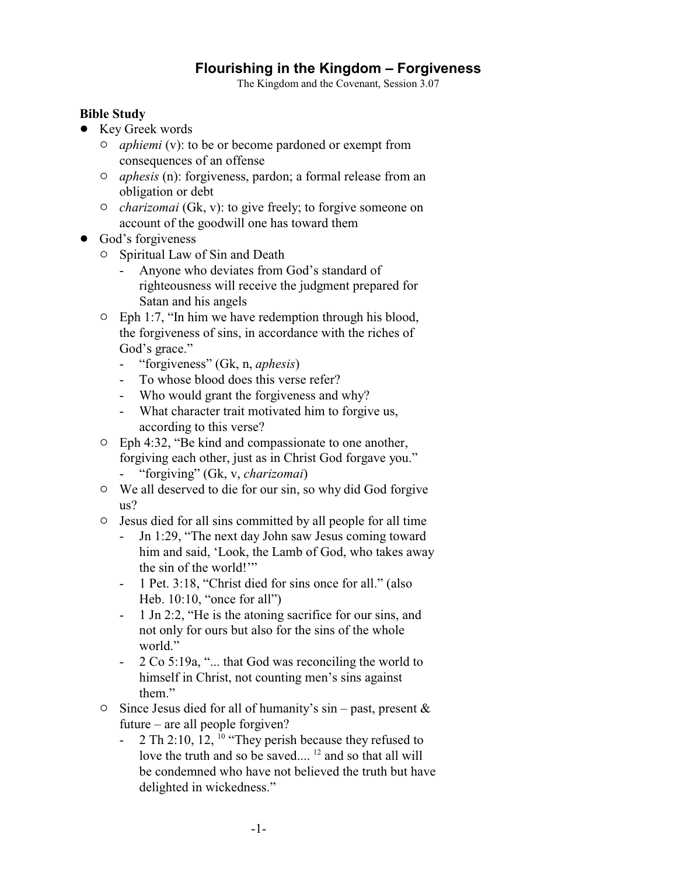## **Flourishing in the Kingdom – Forgiveness**

The Kingdom and the Covenant, Session 3.07

## **Bible Study**

- Key Greek words
	- " *aphiemi* (v): to be or become pardoned or exempt from consequences of an offense
	- " *aphesis* (n): forgiveness, pardon; a formal release from an obligation or debt
	- " *charizomai* (Gk, v): to give freely; to forgive someone on account of the goodwill one has toward them
- God's forgiveness
	- $\circ$  Spiritual Law of Sin and Death
		- Anyone who deviates from God's standard of righteousness will receive the judgment prepared for Satan and his angels
	- $\circ$  Eph 1:7, "In him we have redemption through his blood, the forgiveness of sins, in accordance with the riches of God's grace."
		- "forgiveness" (Gk, n, *aphesis*)
		- To whose blood does this verse refer?
		- Who would grant the forgiveness and why?
		- What character trait motivated him to forgive us, according to this verse?
	- $\circ$  Eph 4:32, "Be kind and compassionate to one another, forgiving each other, just as in Christ God forgave you." - "forgiving" (Gk, v, *charizomai*)
	- $\circ$  We all deserved to die for our sin, so why did God forgive us?
	- $\circ$  Jesus died for all sins committed by all people for all time
		- Jn 1:29, "The next day John saw Jesus coming toward him and said, 'Look, the Lamb of God, who takes away the sin of the world!'"
		- 1 Pet. 3:18, "Christ died for sins once for all." (also Heb. 10:10, "once for all")
		- 1 Jn 2:2, "He is the atoning sacrifice for our sins, and not only for ours but also for the sins of the whole world."
		- 2 Co 5:19a, "... that God was reconciling the world to himself in Christ, not counting men's sins against them."
	- $\circ$  Since Jesus died for all of humanity's sin past, present & future – are all people forgiven?
		- 2 Th 2:10, 12, <sup>10</sup> "They perish because they refused to love the truth and so be saved....<sup>12</sup> and so that all will be condemned who have not believed the truth but have delighted in wickedness."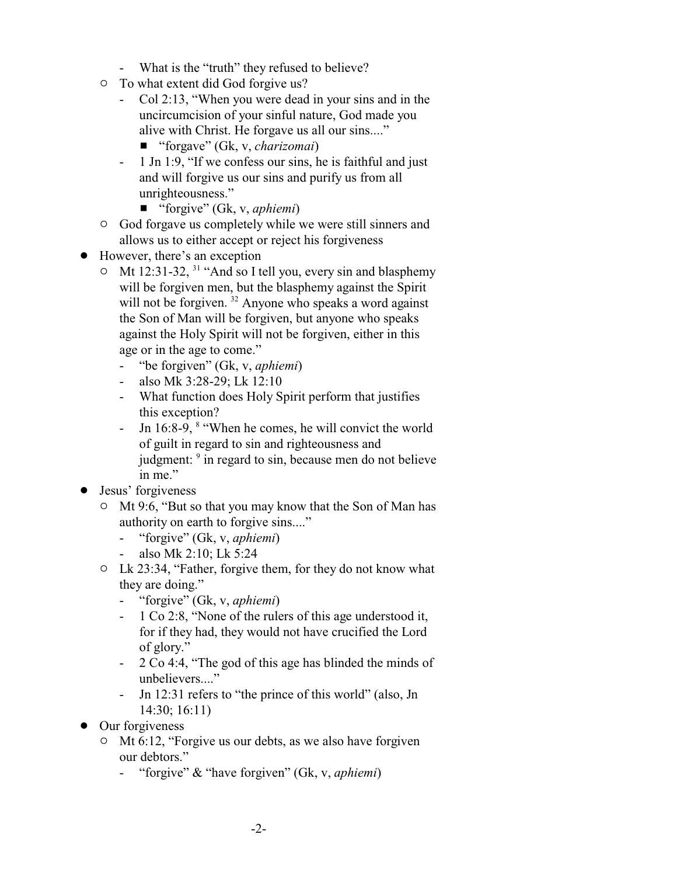- What is the "truth" they refused to believe?
- $\circ$  To what extent did God forgive us?
	- Col 2:13, "When you were dead in your sins and in the uncircumcision of your sinful nature, God made you alive with Christ. He forgave us all our sins...."
		- "forgave" (Gk, v, *charizomai*)
	- 1 Jn 1:9, "If we confess our sins, he is faithful and just and will forgive us our sins and purify us from all unrighteousness."
		- "forgive" (Gk, v, *aphiemi*)
- $\circ$  God forgave us completely while we were still sinners and allows us to either accept or reject his forgiveness
- However, there's an exception
	- $\circ$  Mt 12:31-32, <sup>31</sup> "And so I tell you, every sin and blasphemy will be forgiven men, but the blasphemy against the Spirit will not be forgiven.<sup>32</sup> Anyone who speaks a word against the Son of Man will be forgiven, but anyone who speaks against the Holy Spirit will not be forgiven, either in this age or in the age to come."
		- "be forgiven" (Gk, v, *aphiemi*)
		- also Mk 3:28-29; Lk 12:10
		- What function does Holy Spirit perform that justifies this exception?
		- Jn 16:8-9,  $\textdegree$  "When he comes, he will convict the world of guilt in regard to sin and righteousness and judgment: <sup>9</sup> in regard to sin, because men do not believe in me."
- Jesus' forgiveness
	- $\circ$  Mt 9:6, "But so that you may know that the Son of Man has authority on earth to forgive sins...."
		- "forgive" (Gk, v, *aphiemi*)
		- also Mk 2:10; Lk 5:24
	- $\circ$  Lk 23:34, "Father, forgive them, for they do not know what they are doing."
		- "forgive" (Gk, v, *aphiemi*)
		- 1 Co 2:8, "None of the rulers of this age understood it, for if they had, they would not have crucified the Lord of glory."
		- 2 Co 4:4, "The god of this age has blinded the minds of unbelievers...."
		- Jn 12:31 refers to "the prince of this world" (also, Jn 14:30; 16:11)
- Our forgiveness
	- $\circ$  Mt 6:12, "Forgive us our debts, as we also have forgiven our debtors."
		- "forgive" & "have forgiven" (Gk, v, *aphiemi*)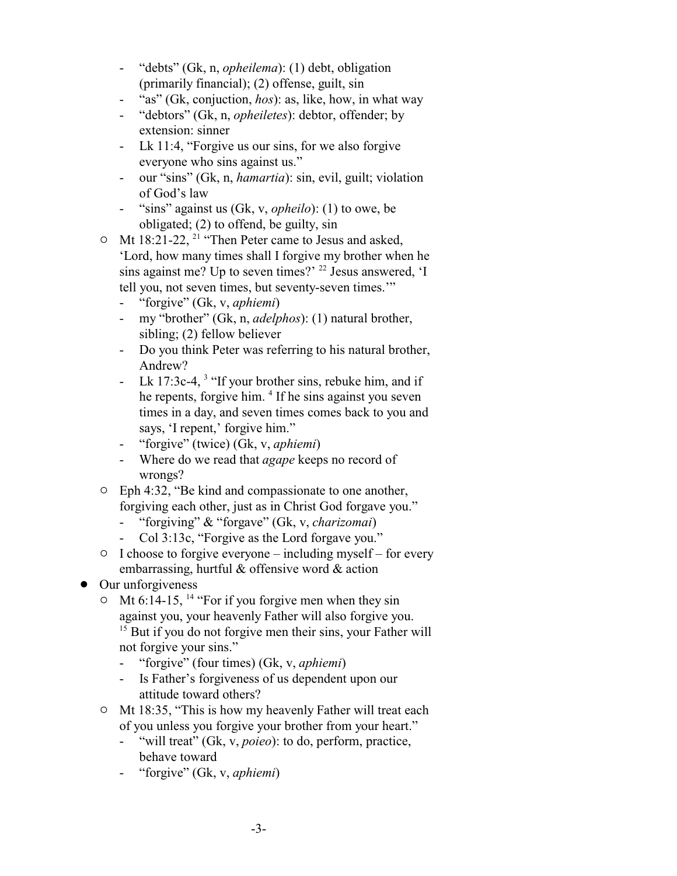- "debts" (Gk, n, *opheilema*): (1) debt, obligation (primarily financial); (2) offense, guilt, sin
- "as" (Gk, conjuction, *hos*): as, like, how, in what way
- "debtors" (Gk, n, *opheiletes*): debtor, offender; by extension: sinner
- Lk 11:4, "Forgive us our sins, for we also forgive everyone who sins against us."
- our "sins" (Gk, n, *hamartia*): sin, evil, guilt; violation of God's law
- "sins" against us (Gk, v, *opheilo*): (1) to owe, be obligated; (2) to offend, be guilty, sin
- $\circ$  Mt 18:21-22, <sup>21</sup> "Then Peter came to Jesus and asked, 'Lord, how many times shall I forgive my brother when he sins against me? Up to seven times?' <sup>22</sup> Jesus answered, 'I tell you, not seven times, but seventy-seven times.'"
	- "forgive" (Gk, v, *aphiemi*)
	- my "brother" (Gk, n, *adelphos*): (1) natural brother, sibling; (2) fellow believer
	- Do you think Peter was referring to his natural brother, Andrew?
	- Lk 17:3c-4,  $3$  "If your brother sins, rebuke him, and if he repents, forgive him. <sup>4</sup> If he sins against you seven times in a day, and seven times comes back to you and says, 'I repent,' forgive him."
	- "forgive" (twice) (Gk, v, *aphiemi*)
	- Where do we read that *agape* keeps no record of wrongs?
- $\circ$  Eph 4:32, "Be kind and compassionate to one another, forgiving each other, just as in Christ God forgave you."
	- "forgiving" & "forgave" (Gk, v, *charizomai*)
	- Col 3:13c, "Forgive as the Lord forgave you."
- $\circ$  I choose to forgive everyone including myself for every embarrassing, hurtful & offensive word & action
- Our unforgiveness
	- $\circ$  Mt 6:14-15, <sup>14</sup> "For if you forgive men when they sin against you, your heavenly Father will also forgive you. <sup>15</sup> But if you do not forgive men their sins, your Father will not forgive your sins."
		- "forgive" (four times) (Gk, v, *aphiemi*)
		- Is Father's forgiveness of us dependent upon our attitude toward others?
	- <sup>o</sup> Mt 18:35, "This is how my heavenly Father will treat each of you unless you forgive your brother from your heart."
		- "will treat" (Gk, v, *poieo*): to do, perform, practice, behave toward
		- "forgive" (Gk, v, *aphiemi*)